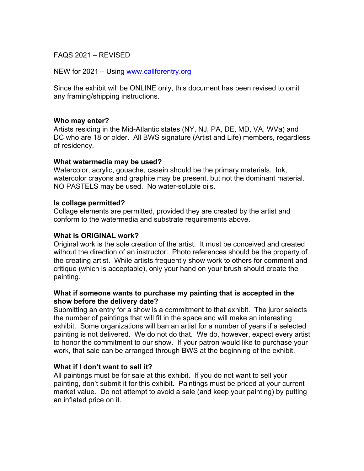FAQS 2021 – REVISED

NEW for 2021 – Using www.callforentry.org

Since the exhibit will be ONLINE only, this document has been revised to omit any framing/shipping instructions.

### **Who may enter?**

Artists residing in the Mid-Atlantic states (NY, NJ, PA, DE, MD, VA, WVa) and DC who are 18 or older. All BWS signature (Artist and Life) members, regardless of residency.

### **What watermedia may be used?**

Watercolor, acrylic, gouache, casein should be the primary materials. Ink, watercolor crayons and graphite may be present, but not the dominant material. NO PASTELS may be used. No water-soluble oils.

### **Is collage permitted?**

Collage elements are permitted, provided they are created by the artist and conform to the watermedia and substrate requirements above.

#### **What is ORIGINAL work?**

Original work is the sole creation of the artist. It must be conceived and created without the direction of an instructor. Photo references should be the property of the creating artist. While artists frequently show work to others for comment and critique (which is acceptable), only your hand on your brush should create the painting.

### **What if someone wants to purchase my painting that is accepted in the show before the delivery date?**

Submitting an entry for a show is a commitment to that exhibit. The juror selects the number of paintings that will fit in the space and will make an interesting exhibit. Some organizations will ban an artist for a number of years if a selected painting is not delivered. We do not do that. We do, however, expect every artist to honor the commitment to our show. If your patron would like to purchase your work, that sale can be arranged through BWS at the beginning of the exhibit.

## **What if I don't want to sell it?**

All paintings must be for sale at this exhibit. If you do not want to sell your painting, don't submit it for this exhibit. Paintings must be priced at your current market value. Do not attempt to avoid a sale (and keep your painting) by putting an inflated price on it.